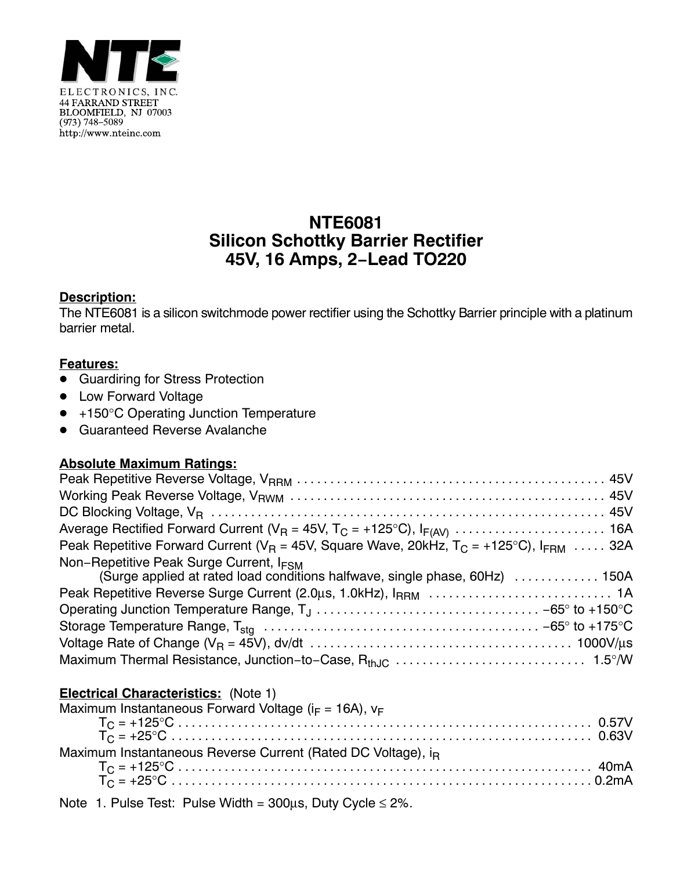

# **NTE6081 Silicon Schottky Barrier Rectifier 45V, 16 Amps, 2−Lead TO220**

# **Description:**

The NTE6081 is a silicon switchmode power rectifier using the Schottky Barrier principle with a platinum barrier metal.

## **Features:**

- **.** Guardiring for Stress Protection
- Low Forward Voltage
- +150°C Operating Junction Temperature
- Guaranteed Reverse Avalanche

### **Absolute Maximum Ratings:**

| Peak Repetitive Forward Current ( $V_R$ = 45V, Square Wave, 20kHz, $T_C$ = +125°C), $I_{FRM}$ 32A                                  |
|------------------------------------------------------------------------------------------------------------------------------------|
| Non-Repetitive Peak Surge Current, I <sub>FSM</sub><br>(Surge applied at rated load conditions halfwave, single phase, 60Hz)  150A |
|                                                                                                                                    |
|                                                                                                                                    |
|                                                                                                                                    |
|                                                                                                                                    |
|                                                                                                                                    |
|                                                                                                                                    |

### **Electrical Characteristics:** (Note 1)

| Maximum Instantaneous Forward Voltage ( $i_F$ = 16A), $v_F$              |  |
|--------------------------------------------------------------------------|--|
|                                                                          |  |
|                                                                          |  |
| Maximum Instantaneous Reverse Current (Rated DC Voltage), i <sub>R</sub> |  |
|                                                                          |  |
|                                                                          |  |
|                                                                          |  |

Note 1. Pulse Test: Pulse Width =  $300\mu s$ , Duty Cycle  $\leq 2\%$ .